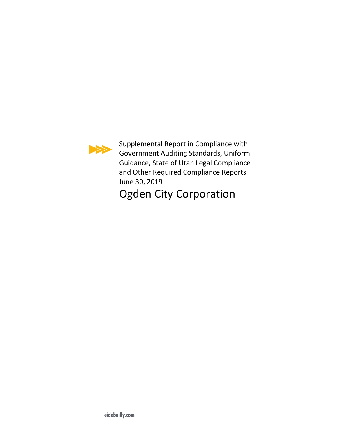Supplemental Report in Compliance with Government Auditing Standards, Uniform Guidance, State of Utah Legal Compliance and Other Required Compliance Reports June 30, 2019

# Ogden City Corporation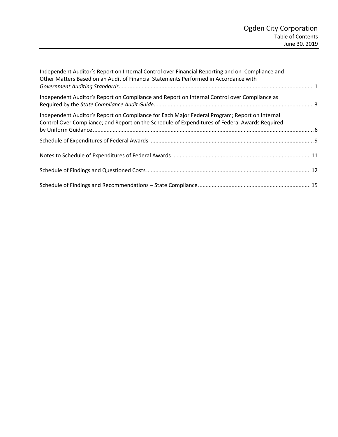| Independent Auditor's Report on Internal Control over Financial Reporting and on Compliance and<br>Other Matters Based on an Audit of Financial Statements Performed in Accordance with         |  |
|-------------------------------------------------------------------------------------------------------------------------------------------------------------------------------------------------|--|
| Independent Auditor's Report on Compliance and Report on Internal Control over Compliance as                                                                                                    |  |
| Independent Auditor's Report on Compliance for Each Major Federal Program; Report on Internal<br>Control Over Compliance; and Report on the Schedule of Expenditures of Federal Awards Required |  |
|                                                                                                                                                                                                 |  |
|                                                                                                                                                                                                 |  |
|                                                                                                                                                                                                 |  |
|                                                                                                                                                                                                 |  |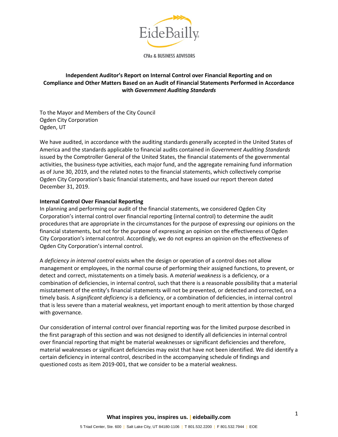

**CPAs & BUSINESS ADVISORS** 

#### <span id="page-2-0"></span>**Independent Auditor's Report on Internal Control over Financial Reporting and on Compliance and Other Matters Based on an Audit of Financial Statements Performed in Accordance with** *Government Auditing Standards*

To the Mayor and Members of the City Council Ogden City Corporation Ogden, UT

We have audited, in accordance with the auditing standards generally accepted in the United States of America and the standards applicable to financial audits contained in *Government Auditing Standards* issued by the Comptroller General of the United States, the financial statements of the governmental activities, the business-type activities, each major fund, and the aggregate remaining fund information as of June 30, 2019, and the related notes to the financial statements, which collectively comprise Ogden City Corporation's basic financial statements, and have issued our report thereon dated December 31, 2019.

#### **Internal Control Over Financial Reporting**

In planning and performing our audit of the financial statements, we considered Ogden City Corporation's internal control over financial reporting (internal control) to determine the audit procedures that are appropriate in the circumstances for the purpose of expressing our opinions on the financial statements, but not for the purpose of expressing an opinion on the effectiveness of Ogden City Corporation's internal control. Accordingly, we do not express an opinion on the effectiveness of Ogden City Corporation's internal control.

A *deficiency in internal control* exists when the design or operation of a control does not allow management or employees, in the normal course of performing their assigned functions, to prevent, or detect and correct, misstatements on a timely basis. A *material weakness* is a deficiency, or a combination of deficiencies, in internal control, such that there is a reasonable possibility that a material misstatement of the entity's financial statements will not be prevented, or detected and corrected, on a timely basis. A *significant deficiency* is a deficiency, or a combination of deficiencies, in internal control that is less severe than a material weakness, yet important enough to merit attention by those charged with governance.

Our consideration of internal control over financial reporting was for the limited purpose described in the first paragraph of this section and was not designed to identify all deficiencies in internal control over financial reporting that might be material weaknesses or significant deficiencies and therefore, material weaknesses or significant deficiencies may exist that have not been identified. We did identify a certain deficiency in internal control, described in the accompanying schedule of findings and questioned costs as item 2019-001, that we consider to be a material weakness.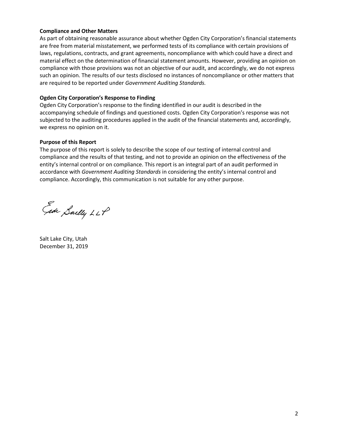#### **Compliance and Other Matters**

As part of obtaining reasonable assurance about whether Ogden City Corporation's financial statements are free from material misstatement, we performed tests of its compliance with certain provisions of laws, regulations, contracts, and grant agreements, noncompliance with which could have a direct and material effect on the determination of financial statement amounts. However, providing an opinion on compliance with those provisions was not an objective of our audit, and accordingly, we do not express such an opinion. The results of our tests disclosed no instances of noncompliance or other matters that are required to be reported under *Government Auditing Standards.*

#### **Ogden City Corporation's Response to Finding**

Ogden City Corporation's response to the finding identified in our audit is described in the accompanying schedule of findings and questioned costs. Ogden City Corporation's response was not subjected to the auditing procedures applied in the audit of the financial statements and, accordingly, we express no opinion on it.

#### **Purpose of this Report**

The purpose of this report is solely to describe the scope of our testing of internal control and compliance and the results of that testing, and not to provide an opinion on the effectiveness of the entity's internal control or on compliance. This report is an integral part of an audit performed in accordance with *Government Auditing Standards* in considering the entity's internal control and compliance. Accordingly, this communication is not suitable for any other purpose.

Ede Sailly LLP

Salt Lake City, Utah December 31, 2019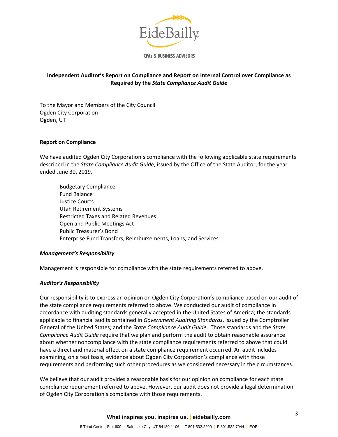

**CPAs & BUSINESS ADVISORS** 

#### <span id="page-4-0"></span>**Independent Auditor's Report on Compliance and Report on Internal Control over Compliance as Required by the** *State Compliance Audit Guide*

To the Mayor and Members of the City Council Ogden City Corporation Ogden, UT

#### **Report on Compliance**

We have audited Ogden City Corporation's compliance with the following applicable state requirements described in the *State Compliance Audit Guide*, issued by the Office of the State Auditor, for the year ended June 30, 2019.

Budgetary Compliance Fund Balance Justice Courts Utah Retirement Systems Restricted Taxes and Related Revenues Open and Public Meetings Act Public Treasurer's Bond Enterprise Fund Transfers, Reimbursements, Loans, and Services

#### *Management's Responsibility*

Management is responsible for compliance with the state requirements referred to above.

#### *Auditor's Responsibility*

Our responsibility is to express an opinion on Ogden City Corporation's compliance based on our audit of the state compliance requirements referred to above. We conducted our audit of compliance in accordance with auditing standards generally accepted in the United States of America; the standards applicable to financial audits contained in *Government Auditing Standards*, issued by the Comptroller General of the United States; and the *State Compliance Audit Guide*. Those standards and the *State Compliance Audit Guide* require that we plan and perform the audit to obtain reasonable assurance about whether noncompliance with the state compliance requirements referred to above that could have a direct and material effect on a state compliance requirement occurred. An audit includes examining, on a test basis, evidence about Ogden City Corporation's compliance with those requirements and performing such other procedures as we considered necessary in the circumstances.

We believe that our audit provides a reasonable basis for our opinion on compliance for each state compliance requirement referred to above. However, our audit does not provide a legal determination of Ogden City Corporation's compliance with those requirements.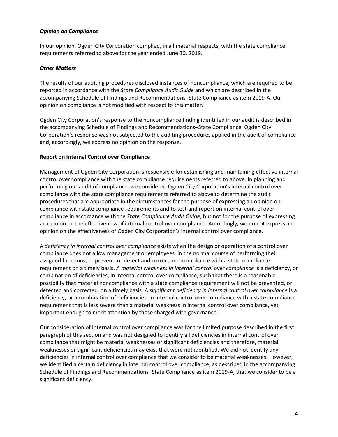#### *Opinion on Compliance*

In our opinion, Ogden City Corporation complied, in all material respects, with the state compliance requirements referred to above for the year ended June 30, 2019.

#### *Other Matters*

The results of our auditing procedures disclosed instances of noncompliance, which are required to be reported in accordance with the *State Compliance Audit Guide* and which are described in the accompanying Schedule of Findings and Recommendations–State Compliance as item 2019-A. Our opinion on compliance is not modified with respect to this matter.

Ogden City Corporation's response to the noncompliance finding identified in our audit is described in the accompanying Schedule of Findings and Recommendations–State Compliance. Ogden City Corporation's response was not subjected to the auditing procedures applied in the audit of compliance and, accordingly, we express no opinion on the response.

#### **Report on Internal Control over Compliance**

Management of Ogden City Corporation is responsible for establishing and maintaining effective internal control over compliance with the state compliance requirements referred to above. In planning and performing our audit of compliance, we considered Ogden City Corporation's internal control over compliance with the state compliance requirements referred to above to determine the audit procedures that are appropriate in the circumstances for the purpose of expressing an opinion on compliance with state compliance requirements and to test and report on internal control over compliance in accordance with the *State Compliance Audit Guide*, but not for the purpose of expressing an opinion on the effectiveness of internal control over compliance. Accordingly, we do not express an opinion on the effectiveness of Ogden City Corporation's internal control over compliance.

A *deficiency in internal control over compliance* exists when the design or operation of a control over compliance does not allow management or employees, in the normal course of performing their assigned functions, to prevent, or detect and correct, noncompliance with a state compliance requirement on a timely basis. *A material weakness in internal control over compliance* is a deficiency, or combination of deficiencies, in internal control over compliance, such that there is a reasonable possibility that material noncompliance with a state compliance requirement will not be prevented, or detected and corrected, on a timely basis. A *significant deficiency in internal control over compliance* is a deficiency, or a combination of deficiencies, in internal control over compliance with a state compliance requirement that is less severe than a material weakness in internal control over compliance, yet important enough to merit attention by those charged with governance.

Our consideration of internal control over compliance was for the limited purpose described in the first paragraph of this section and was not designed to identify all deficiencies in internal control over compliance that might be material weaknesses or significant deficiencies and therefore, material weaknesses or significant deficiencies may exist that were not identified. We did not identify any deficiencies in internal control over compliance that we consider to be material weaknesses. However, we identified a certain deficiency in internal control over compliance, as described in the accompanying Schedule of Findings and Recommendations–State Compliance as item 2019-A, that we consider to be a significant deficiency.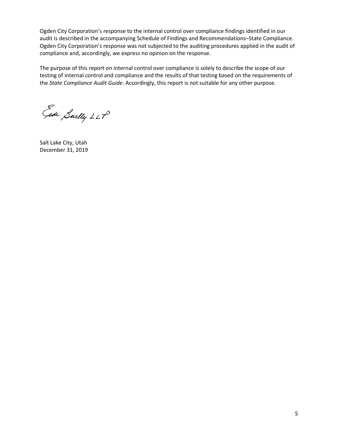Ogden City Corporation's response to the internal control over compliance findings identified in our audit is described in the accompanying Schedule of Findings and Recommendations–State Compliance. Ogden City Corporation's response was not subjected to the auditing procedures applied in the audit of compliance and, accordingly, we express no opinion on the response.

The purpose of this report on internal control over compliance is solely to describe the scope of our testing of internal control and compliance and the results of that testing based on the requirements of the *State Compliance Audit Guide*. Accordingly, this report is not suitable for any other purpose.

Gide Sailly LLP

Salt Lake City, Utah December 31, 2019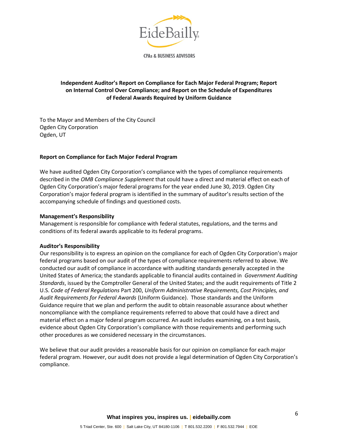

**CPAs & BUSINESS ADVISORS** 

#### <span id="page-7-0"></span>**Independent Auditor's Report on Compliance for Each Major Federal Program; Report on Internal Control Over Compliance; and Report on the Schedule of Expenditures of Federal Awards Required by Uniform Guidance**

To the Mayor and Members of the City Council Ogden City Corporation Ogden, UT

#### **Report on Compliance for Each Major Federal Program**

We have audited Ogden City Corporation's compliance with the types of compliance requirements described in the *OMB Compliance Supplement* that could have a direct and material effect on each of Ogden City Corporation's major federal programs for the year ended June 30, 2019. Ogden City Corporation's major federal program is identified in the summary of auditor's results section of the accompanying schedule of findings and questioned costs.

#### **Management's Responsibility**

Management is responsible for compliance with federal statutes, regulations, and the terms and conditions of its federal awards applicable to its federal programs.

#### **Auditor's Responsibility**

Our responsibility is to express an opinion on the compliance for each of Ogden City Corporation's major federal programs based on our audit of the types of compliance requirements referred to above. We conducted our audit of compliance in accordance with auditing standards generally accepted in the United States of America; the standards applicable to financial audits contained in *Government Auditing Standards*, issued by the Comptroller General of the United States; and the audit requirements of Title 2 U.S. *Code of Federal Regulations* Part 200, *Uniform Administrative Requirements, Cost Principles, and Audit Requirements for Federal Awards* (Uniform Guidance). Those standards and the Uniform Guidance require that we plan and perform the audit to obtain reasonable assurance about whether noncompliance with the compliance requirements referred to above that could have a direct and material effect on a major federal program occurred. An audit includes examining, on a test basis, evidence about Ogden City Corporation's compliance with those requirements and performing such other procedures as we considered necessary in the circumstances.

We believe that our audit provides a reasonable basis for our opinion on compliance for each major federal program. However, our audit does not provide a legal determination of Ogden City Corporation's compliance.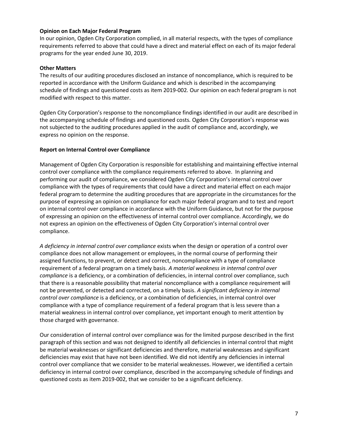#### **Opinion on Each Major Federal Program**

In our opinion, Ogden City Corporation complied, in all material respects, with the types of compliance requirements referred to above that could have a direct and material effect on each of its major federal programs for the year ended June 30, 2019.

#### **Other Matters**

The results of our auditing procedures disclosed an instance of noncompliance, which is required to be reported in accordance with the Uniform Guidance and which is described in the accompanying schedule of findings and questioned costs as item 2019-002*.* Our opinion on each federal program is not modified with respect to this matter.

Ogden City Corporation's response to the noncompliance findings identified in our audit are described in the accompanying schedule of findings and questioned costs*.* Ogden City Corporation's response was not subjected to the auditing procedures applied in the audit of compliance and, accordingly, we express no opinion on the response.

#### **Report on Internal Control over Compliance**

Management of Ogden City Corporation is responsible for establishing and maintaining effective internal control over compliance with the compliance requirements referred to above. In planning and performing our audit of compliance, we considered Ogden City Corporation's internal control over compliance with the types of requirements that could have a direct and material effect on each major federal program to determine the auditing procedures that are appropriate in the circumstances for the purpose of expressing an opinion on compliance for each major federal program and to test and report on internal control over compliance in accordance with the Uniform Guidance, but not for the purpose of expressing an opinion on the effectiveness of internal control over compliance. Accordingly, we do not express an opinion on the effectiveness of Ogden City Corporation's internal control over compliance.

*A deficiency in internal control over compliance* exists when the design or operation of a control over compliance does not allow management or employees, in the normal course of performing their assigned functions, to prevent, or detect and correct, noncompliance with a type of compliance requirement of a federal program on a timely basis. *A material weakness in internal control over compliance* is a deficiency, or a combination of deficiencies, in internal control over compliance, such that there is a reasonable possibility that material noncompliance with a compliance requirement will not be prevented, or detected and corrected, on a timely basis. *A significant deficiency in internal control over compliance* is a deficiency, or a combination of deficiencies, in internal control over compliance with a type of compliance requirement of a federal program that is less severe than a material weakness in internal control over compliance, yet important enough to merit attention by those charged with governance.

Our consideration of internal control over compliance was for the limited purpose described in the first paragraph of this section and was not designed to identify all deficiencies in internal control that might be material weaknesses or significant deficiencies and therefore, material weaknesses and significant deficiencies may exist that have not been identified. We did not identify any deficiencies in internal control over compliance that we consider to be material weaknesses. However, we identified a certain deficiency in internal control over compliance, described in the accompanying schedule of findings and questioned costs as item 2019-002, that we consider to be a significant deficiency.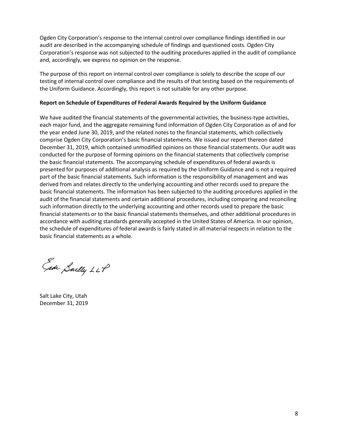Ogden City Corporation's response to the internal control over compliance findings identified in our audit are described in the accompanying schedule of findings and questioned costs. Ogden City Corporation's response was not subjected to the auditing procedures applied in the audit of compliance and, accordingly, we express no opinion on the response.

The purpose of this report on internal control over compliance is solely to describe the scope of our testing of internal control over compliance and the results of that testing based on the requirements of the Uniform Guidance. Accordingly, this report is not suitable for any other purpose.

#### **Report on Schedule of Expenditures of Federal Awards Required by the Uniform Guidance**

We have audited the financial statements of the governmental activities, the business-type activities, each major fund, and the aggregate remaining fund information of Ogden City Corporation as of and for the year ended June 30, 2019, and the related notes to the financial statements, which collectively comprise Ogden City Corporation's basic financial statements. We issued our report thereon dated December 31, 2019, which contained unmodified opinions on those financial statements. Our audit was conducted for the purpose of forming opinions on the financial statements that collectively comprise the basic financial statements. The accompanying schedule of expenditures of federal awards is presented for purposes of additional analysis as required by the Uniform Guidance and is not a required part of the basic financial statements. Such information is the responsibility of management and was derived from and relates directly to the underlying accounting and other records used to prepare the basic financial statements. The information has been subjected to the auditing procedures applied in the audit of the financial statements and certain additional procedures, including comparing and reconciling such information directly to the underlying accounting and other records used to prepare the basic financial statements or to the basic financial statements themselves, and other additional procedures in accordance with auditing standards generally accepted in the United States of America. In our opinion, the schedule of expenditures of federal awards is fairly stated in all material respects in relation to the basic financial statements as a whole.

Gade Saelly LLP

Salt Lake City, Utah December 31, 2019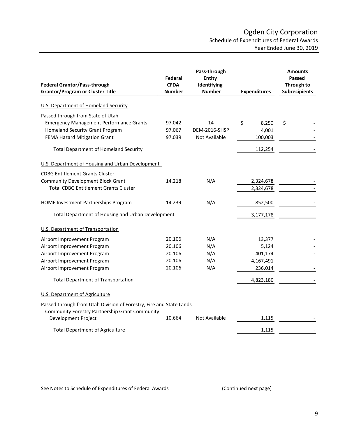<span id="page-10-0"></span>

| <b>Federal Grantor/Pass-through</b><br><b>Grantor/Program or Cluster Title</b> | Federal<br><b>CFDA</b><br><b>Number</b> | Pass-through<br><b>Entity</b><br>Identifying<br><b>Number</b> | <b>Expenditures</b> | <b>Amounts</b><br><b>Passed</b><br>Through to<br><b>Subrecipients</b> |
|--------------------------------------------------------------------------------|-----------------------------------------|---------------------------------------------------------------|---------------------|-----------------------------------------------------------------------|
|                                                                                |                                         |                                                               |                     |                                                                       |
| U.S. Department of Homeland Security                                           |                                         |                                                               |                     |                                                                       |
| Passed through from State of Utah                                              |                                         |                                                               |                     |                                                                       |
| <b>Emergency Management Performance Grants</b>                                 | 97.042                                  | 14                                                            | \$<br>8,250         | \$                                                                    |
| <b>Homeland Security Grant Program</b>                                         | 97.067                                  | DEM-2016-SHSP                                                 | 4,001               |                                                                       |
| FEMA Hazard Mitigation Grant                                                   | 97.039                                  | Not Available                                                 | 100,003             |                                                                       |
| <b>Total Department of Homeland Security</b>                                   |                                         |                                                               | 112,254             |                                                                       |
| U.S. Department of Housing and Urban Development                               |                                         |                                                               |                     |                                                                       |
| <b>CDBG Entitlement Grants Cluster</b>                                         |                                         |                                                               |                     |                                                                       |
| <b>Community Development Block Grant</b>                                       | 14.218                                  | N/A                                                           | 2,324,678           |                                                                       |
| <b>Total CDBG Entitlement Grants Cluster</b>                                   |                                         |                                                               | 2,324,678           |                                                                       |
|                                                                                |                                         |                                                               |                     |                                                                       |
| HOME Investment Partnerships Program                                           | 14.239                                  | N/A                                                           | 852,500             |                                                                       |
| Total Department of Housing and Urban Development                              |                                         |                                                               | 3,177,178           |                                                                       |
| <b>U.S. Department of Transportation</b>                                       |                                         |                                                               |                     |                                                                       |
| Airport Improvement Program                                                    | 20.106                                  | N/A                                                           | 13,377              |                                                                       |
| Airport Improvement Program                                                    | 20.106                                  | N/A                                                           | 5,124               |                                                                       |
| Airport Improvement Program                                                    | 20.106                                  | N/A                                                           | 401,174             |                                                                       |
| Airport Improvement Program                                                    | 20.106                                  | N/A                                                           | 4,167,491           |                                                                       |
| Airport Improvement Program                                                    | 20.106                                  | N/A                                                           | 236,014             |                                                                       |
| <b>Total Department of Transportation</b>                                      |                                         |                                                               | 4,823,180           |                                                                       |
| U.S. Department of Agriculture                                                 |                                         |                                                               |                     |                                                                       |
| Passed through from Utah Division of Forestry, Fire and State Lands            |                                         |                                                               |                     |                                                                       |
| Community Forestry Partnership Grant Community                                 |                                         |                                                               |                     |                                                                       |
| Development Project                                                            | 10.664                                  | Not Available                                                 | 1,115               |                                                                       |
| <b>Total Department of Agriculture</b>                                         |                                         |                                                               | 1,115               |                                                                       |

See Notes to Schedule of Expenditures of Federal Awards (Continued next page)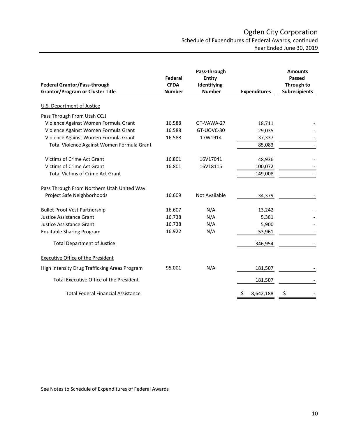### Ogden City Corporation

Schedule of Expenditures of Federal Awards, continued

Year Ended June 30, 2019

| <b>Federal Grantor/Pass-through</b><br><b>Grantor/Program or Cluster Title</b> | Federal<br><b>CFDA</b><br><b>Number</b> | Pass-through<br><b>Entity</b><br>Identifying<br><b>Number</b> | <b>Expenditures</b> | <b>Amounts</b><br>Passed<br>Through to<br>Subrecipients |
|--------------------------------------------------------------------------------|-----------------------------------------|---------------------------------------------------------------|---------------------|---------------------------------------------------------|
|                                                                                |                                         |                                                               |                     |                                                         |
| <b>U.S. Department of Justice</b>                                              |                                         |                                                               |                     |                                                         |
| Pass Through From Utah CCJJ                                                    |                                         |                                                               |                     |                                                         |
| Violence Against Women Formula Grant                                           | 16.588                                  | GT-VAWA-27                                                    | 18,711              |                                                         |
| Violence Against Women Formula Grant                                           | 16.588                                  | GT-UOVC-30                                                    | 29,035              |                                                         |
| Violence Against Women Formula Grant                                           | 16.588                                  | 17W1914                                                       | 37,337              |                                                         |
| Total Violence Against Women Formula Grant                                     |                                         |                                                               | 85,083              |                                                         |
| Victims of Crime Act Grant                                                     | 16.801                                  | 16V17041                                                      | 48,936              |                                                         |
| Victims of Crime Act Grant                                                     | 16.801                                  | 16V18115                                                      | 100,072             |                                                         |
| <b>Total Victims of Crime Act Grant</b>                                        |                                         |                                                               | 149,008             |                                                         |
| Pass Through From Northern Utah United Way                                     |                                         |                                                               |                     |                                                         |
| Project Safe Neighborhoods                                                     | 16.609                                  | <b>Not Available</b>                                          | 34,379              |                                                         |
| <b>Bullet Proof Vest Partnership</b>                                           | 16.607                                  | N/A                                                           | 13,242              |                                                         |
| <b>Justice Assistance Grant</b>                                                | 16.738                                  | N/A                                                           | 5,381               |                                                         |
| <b>Justice Assistance Grant</b>                                                | 16.738                                  | N/A                                                           | 5,900               |                                                         |
| <b>Equitable Sharing Program</b>                                               | 16.922                                  | N/A                                                           | 53,961              |                                                         |
| <b>Total Department of Justice</b>                                             |                                         |                                                               | 346,954             |                                                         |
| <b>Executive Office of the President</b>                                       |                                         |                                                               |                     |                                                         |
| High Intensity Drug Trafficking Areas Program                                  | 95.001                                  | N/A                                                           | 181,507             |                                                         |
| Total Executive Office of the President                                        |                                         |                                                               | 181,507             |                                                         |
| <b>Total Federal Financial Assistance</b>                                      |                                         |                                                               | 8,642,188<br>Ş      | Ş                                                       |

See Notes to Schedule of Expenditures of Federal Awards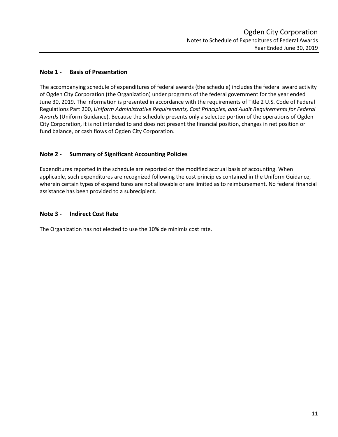#### <span id="page-12-0"></span>**Note 1 - Basis of Presentation**

The accompanying schedule of expenditures of federal awards (the schedule) includes the federal award activity of Ogden City Corporation (the Organization) under programs of the federal government for the year ended June 30, 2019. The information is presented in accordance with the requirements of Title 2 U.S. Code of Federal Regulations Part 200, *Uniform Administrative Requirements, Cost Principles, and Audit Requirements for Federal Awards* (Uniform Guidance). Because the schedule presents only a selected portion of the operations of Ogden City Corporation, it is not intended to and does not present the financial position, changes in net position or fund balance, or cash flows of Ogden City Corporation.

#### **Note 2 - Summary of Significant Accounting Policies**

Expenditures reported in the schedule are reported on the modified accrual basis of accounting. When applicable, such expenditures are recognized following the cost principles contained in the Uniform Guidance, wherein certain types of expenditures are not allowable or are limited as to reimbursement. No federal financial assistance has been provided to a subrecipient.

#### **Note 3 - Indirect Cost Rate**

The Organization has not elected to use the 10% de minimis cost rate.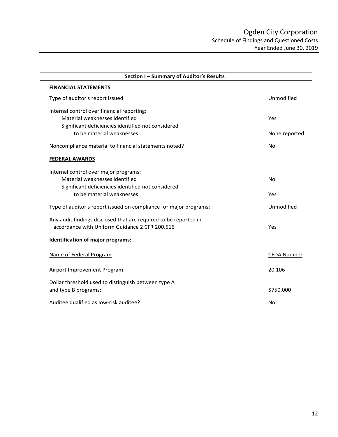<span id="page-13-0"></span>

| Section I - Summary of Auditor's Results                          |                    |
|-------------------------------------------------------------------|--------------------|
| <b>FINANCIAL STATEMENTS</b>                                       |                    |
| Type of auditor's report issued                                   | Unmodified         |
| Internal control over financial reporting:                        |                    |
| Material weaknesses identified                                    | Yes                |
| Significant deficiencies identified not considered                |                    |
| to be material weaknesses                                         | None reported      |
| Noncompliance material to financial statements noted?             | No                 |
| <b>FEDERAL AWARDS</b>                                             |                    |
| Internal control over major programs:                             |                    |
| Material weaknesses identified                                    | No                 |
| Significant deficiencies identified not considered                |                    |
| to be material weaknesses                                         | Yes                |
| Type of auditor's report issued on compliance for major programs: | Unmodified         |
| Any audit findings disclosed that are required to be reported in  |                    |
| accordance with Uniform Guidance 2 CFR 200.516                    | Yes                |
| Identification of major programs:                                 |                    |
| Name of Federal Program                                           | <b>CFDA Number</b> |
| Airport Improvement Program                                       | 20.106             |
| Dollar threshold used to distinguish between type A               |                    |
| and type B programs:                                              | \$750,000          |
| Auditee qualified as low-risk auditee?                            | No                 |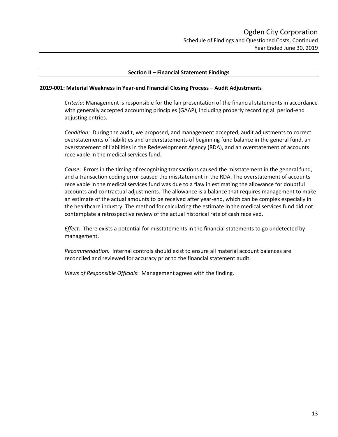#### **Section II – Financial Statement Findings**

#### **2019-001: Material Weakness in Year-end Financial Closing Process – Audit Adjustments**

*Criteria:* Management is responsible for the fair presentation of the financial statements in accordance with generally accepted accounting principles (GAAP), including properly recording all period-end adjusting entries.

*Condition:* During the audit, we proposed, and management accepted, audit adjustments to correct overstatements of liabilities and understatements of beginning fund balance in the general fund, an overstatement of liabilities in the Redevelopment Agency (RDA), and an overstatement of accounts receivable in the medical services fund.

*Cause*: Errors in the timing of recognizing transactions caused the misstatement in the general fund, and a transaction coding error caused the misstatement in the RDA. The overstatement of accounts receivable in the medical services fund was due to a flaw in estimating the allowance for doubtful accounts and contractual adjustments. The allowance is a balance that requires management to make an estimate of the actual amounts to be received after year-end, which can be complex especially in the healthcare industry. The method for calculating the estimate in the medical services fund did not contemplate a retrospective review of the actual historical rate of cash received.

*Effect:* There exists a potential for misstatements in the financial statements to go undetected by management.

*Recommendation:* Internal controls should exist to ensure all material account balances are reconciled and reviewed for accuracy prior to the financial statement audit.

*Views of Responsible Officials*: Management agrees with the finding.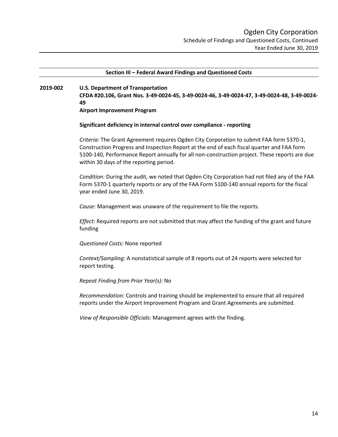## **Section III – Federal Award Findings and Questioned Costs 2019-002 U.S. Department of Transportation CFDA #20.106, Grant Nos. 3-49-0024-45, 3-49-0024-46, 3-49-0024-47, 3-49-0024-48, 3-49-0024- 49 Airport Improvement Program Significant deficiency in internal control over compliance - reporting** *Criteria:* The Grant Agreement requires Ogden City Corporation to submit FAA form 5370-1, Construction Progress and Inspection Report at the end of each fiscal quarter and FAA form 5100-140, Performance Report annually for all non-construction project. These reports are due within 30 days of the reporting period. *Condition:* During the audit, we noted that Ogden City Corporation had not filed any of the FAA Form 5370-1 quarterly reports or any of the FAA Form 5100-140 annual reports for the fiscal year ended June 30, 2019. *Cause:* Management was unaware of the requirement to file the reports. *Effect:* Required reports are not submitted that may affect the funding of the grant and future funding *Questioned Costs:* None reported *Context/Sampling:* A nonstatistical sample of 8 reports out of 24 reports were selected for report testing. *Repeat Finding from Prior Year(s):* No *Recommendation:* Controls and training should be implemented to ensure that all required reports under the Airport Improvement Program and Grant Agreements are submitted. *View of Responsible Officials:* Management agrees with the finding.